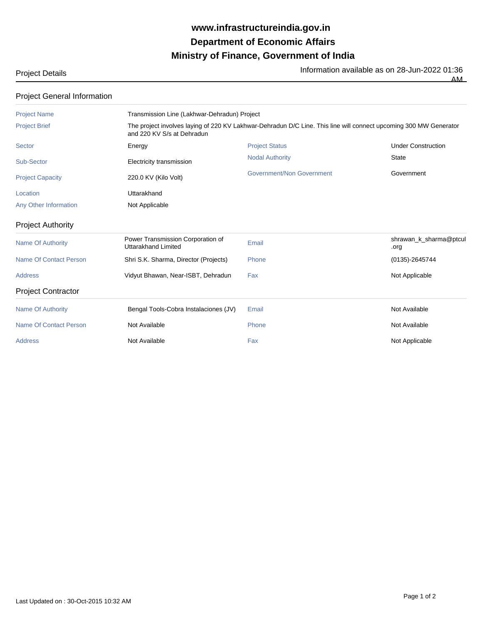## **Ministry of Finance, Government of India Department of Economic Affairs www.infrastructureindia.gov.in**

AM

| <b>Project Details</b> | Information available as on 28-Jun-2022 01:36 |
|------------------------|-----------------------------------------------|
|                        |                                               |

| <b>Project General Information</b> |                                                                                                                                                 |                           |                                |  |  |
|------------------------------------|-------------------------------------------------------------------------------------------------------------------------------------------------|---------------------------|--------------------------------|--|--|
| <b>Project Name</b>                | Transmission Line (Lakhwar-Dehradun) Project                                                                                                    |                           |                                |  |  |
| <b>Project Brief</b>               | The project involves laying of 220 KV Lakhwar-Dehradun D/C Line. This line will connect upcoming 300 MW Generator<br>and 220 KV S/s at Dehradun |                           |                                |  |  |
| Sector                             | Energy                                                                                                                                          | <b>Project Status</b>     | <b>Under Construction</b>      |  |  |
| Sub-Sector                         | Electricity transmission                                                                                                                        | <b>Nodal Authority</b>    | <b>State</b>                   |  |  |
| <b>Project Capacity</b>            | 220.0 KV (Kilo Volt)                                                                                                                            | Government/Non Government | Government                     |  |  |
| Location                           | Uttarakhand                                                                                                                                     |                           |                                |  |  |
| Any Other Information              | Not Applicable                                                                                                                                  |                           |                                |  |  |
| <b>Project Authority</b>           |                                                                                                                                                 |                           |                                |  |  |
| <b>Name Of Authority</b>           | Power Transmission Corporation of<br>Uttarakhand Limited                                                                                        | Email                     | shrawan_k_sharma@ptcul<br>.org |  |  |
| <b>Name Of Contact Person</b>      | Shri S.K. Sharma, Director (Projects)                                                                                                           | Phone                     | $(0135) - 2645744$             |  |  |
| <b>Address</b>                     | Vidyut Bhawan, Near-ISBT, Dehradun                                                                                                              | Fax                       | Not Applicable                 |  |  |
| <b>Project Contractor</b>          |                                                                                                                                                 |                           |                                |  |  |
| <b>Name Of Authority</b>           | Bengal Tools-Cobra Instalaciones (JV)                                                                                                           | Email                     | Not Available                  |  |  |
| <b>Name Of Contact Person</b>      | Not Available                                                                                                                                   | Phone                     | Not Available                  |  |  |
| <b>Address</b>                     | Not Available                                                                                                                                   | Fax                       | Not Applicable                 |  |  |